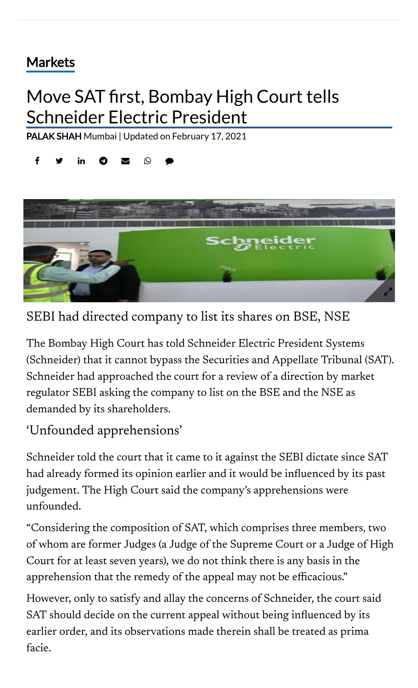## [Markets](https://www.thehindubusinessline.com/markets/)

## Move SAT first, Bombay High Court tells Schneider Electric President

[PALAK](https://www.thehindubusinessline.com/profile/author/PALAK-SHAH-16223/) SHAH Mumbai | Updated on February 17, 2021





SEBI had directed company to list its shares on BSE, NSE

The Bombay High Court has told Schneider Electric President Systems (Schneider) that it cannot bypass the Securities and Appellate Tribunal (SAT). Schneider had approached the court for a review of a direction by market regulator SEBI asking the company to list on the BSE and the NSE as demanded by its shareholders.

## 'Unfounded apprehensions'

Schneider told the court that it came to it against the SEBI dictate since SAT had already formed its opinion earlier and it would be influenced by its past judgement. The High Court said the company's apprehensions were unfounded.

"Considering the composition of SAT, which comprises three members, two of whom are former Judges (a Judge of the Supreme Court or a Judge of High Court for at least seven years), we do not think there is any basis in the apprehension that the remedy of the appeal may not be efficacious."

However, only to satisfy and allay the concerns of Schneider, the court said SAT should decide on the current appeal without being influenced by its earlier order, and its observations made therein shall be treated as prima facie.